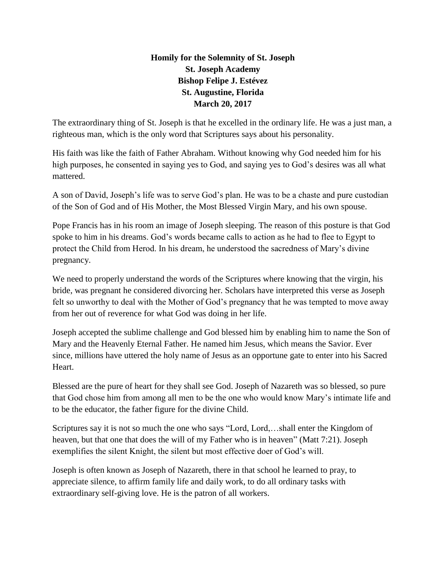## **Homily for the Solemnity of St. Joseph St. Joseph Academy Bishop Felipe J. Estévez St. Augustine, Florida March 20, 2017**

The extraordinary thing of St. Joseph is that he excelled in the ordinary life. He was a just man, a righteous man, which is the only word that Scriptures says about his personality.

His faith was like the faith of Father Abraham. Without knowing why God needed him for his high purposes, he consented in saying yes to God, and saying yes to God's desires was all what mattered.

A son of David, Joseph's life was to serve God's plan. He was to be a chaste and pure custodian of the Son of God and of His Mother, the Most Blessed Virgin Mary, and his own spouse.

Pope Francis has in his room an image of Joseph sleeping. The reason of this posture is that God spoke to him in his dreams. God's words became calls to action as he had to flee to Egypt to protect the Child from Herod. In his dream, he understood the sacredness of Mary's divine pregnancy.

We need to properly understand the words of the Scriptures where knowing that the virgin, his bride, was pregnant he considered divorcing her. Scholars have interpreted this verse as Joseph felt so unworthy to deal with the Mother of God's pregnancy that he was tempted to move away from her out of reverence for what God was doing in her life.

Joseph accepted the sublime challenge and God blessed him by enabling him to name the Son of Mary and the Heavenly Eternal Father. He named him Jesus, which means the Savior. Ever since, millions have uttered the holy name of Jesus as an opportune gate to enter into his Sacred Heart.

Blessed are the pure of heart for they shall see God. Joseph of Nazareth was so blessed, so pure that God chose him from among all men to be the one who would know Mary's intimate life and to be the educator, the father figure for the divine Child.

Scriptures say it is not so much the one who says "Lord, Lord,…shall enter the Kingdom of heaven, but that one that does the will of my Father who is in heaven" (Matt 7:21). Joseph exemplifies the silent Knight, the silent but most effective doer of God's will.

Joseph is often known as Joseph of Nazareth, there in that school he learned to pray, to appreciate silence, to affirm family life and daily work, to do all ordinary tasks with extraordinary self-giving love. He is the patron of all workers.